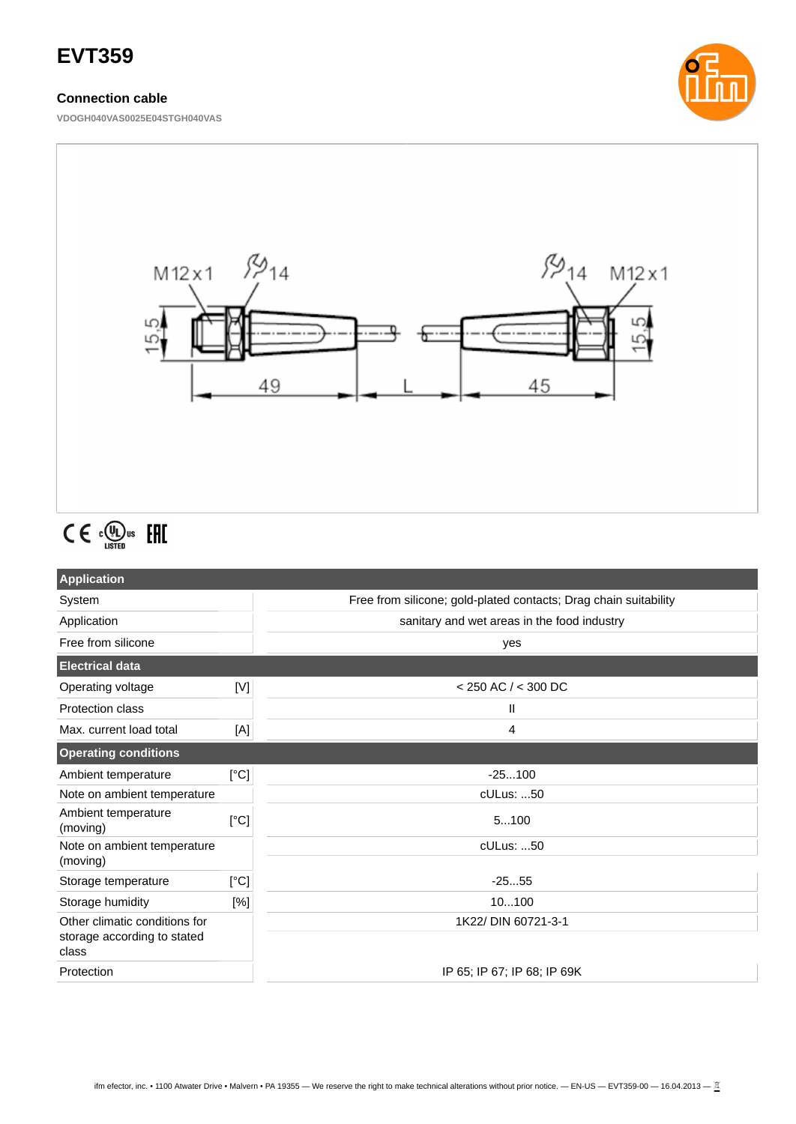# **EVT359**

# **Connection cable**

**VDOGH040VAS0025E04STGH040VAS**





# $C \in \mathbb{C}^{\text{op}}_{\text{LISTED}}$  EHI

| <b>Application</b>                      |      |                                                                  |  |
|-----------------------------------------|------|------------------------------------------------------------------|--|
| System                                  |      | Free from silicone; gold-plated contacts; Drag chain suitability |  |
| Application                             |      | sanitary and wet areas in the food industry                      |  |
| Free from silicone                      |      | yes                                                              |  |
| <b>Electrical data</b>                  |      |                                                                  |  |
| Operating voltage                       | [V]  | $<$ 250 AC $/$ < 300 DC                                          |  |
| Protection class                        |      | $\mathbf{H}$                                                     |  |
| Max. current load total                 | [A]  | 4                                                                |  |
| <b>Operating conditions</b>             |      |                                                                  |  |
| Ambient temperature                     | [°C] | $-25100$                                                         |  |
| Note on ambient temperature             |      | cULus: 50                                                        |  |
| Ambient temperature<br>(moving)         | [°C] | 5100                                                             |  |
| Note on ambient temperature<br>(moving) |      | cULus: 50                                                        |  |
| Storage temperature                     | [°C] | $-2555$                                                          |  |
| Storage humidity                        | [%]  | 10100                                                            |  |
| Other climatic conditions for           |      | 1K22/ DIN 60721-3-1                                              |  |
| storage according to stated<br>class    |      |                                                                  |  |
| Protection                              |      | IP 65; IP 67; IP 68; IP 69K                                      |  |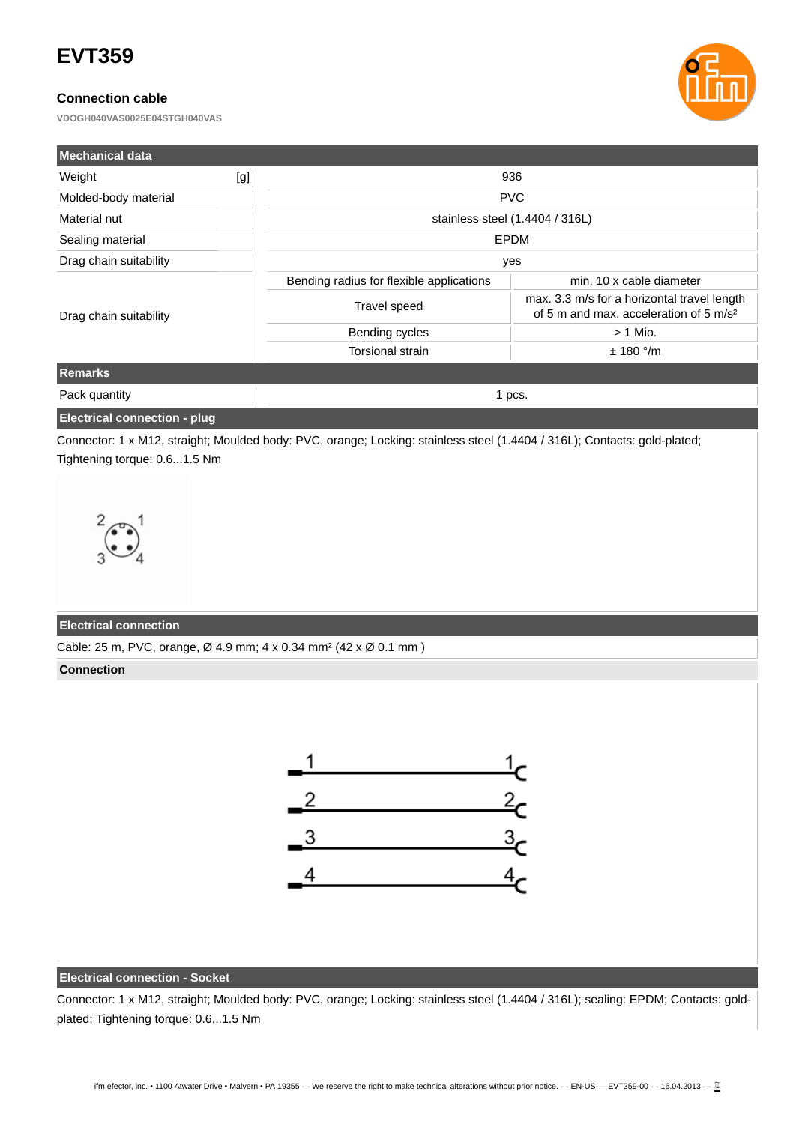# **EVT359**

## **Connection cable**

**VDOGH040VAS0025E04STGH040VAS**



| <b>Mechanical data</b> |     |                                          |                                                                                                   |  |
|------------------------|-----|------------------------------------------|---------------------------------------------------------------------------------------------------|--|
| Weight                 | [g] | 936                                      |                                                                                                   |  |
| Molded-body material   |     | <b>PVC</b>                               |                                                                                                   |  |
| Material nut           |     | stainless steel (1.4404 / 316L)          |                                                                                                   |  |
| Sealing material       |     | EPDM                                     |                                                                                                   |  |
| Drag chain suitability |     | yes                                      |                                                                                                   |  |
| Drag chain suitability |     | Bending radius for flexible applications | min. 10 x cable diameter                                                                          |  |
|                        |     | Travel speed                             | max. 3.3 m/s for a horizontal travel length<br>of 5 m and max, acceleration of 5 m/s <sup>2</sup> |  |
|                        |     | Bending cycles                           | $> 1$ Mio.                                                                                        |  |
|                        |     | Torsional strain                         | $± 180$ °/m                                                                                       |  |
| <b>Remarks</b>         |     |                                          |                                                                                                   |  |
| Pack quantity          |     | 1 pcs.                                   |                                                                                                   |  |

### **Electrical connection - plug**

Connector: 1 x M12, straight; Moulded body: PVC, orange; Locking: stainless steel (1.4404 / 316L); Contacts: gold-plated; Tightening torque: 0.6...1.5 Nm



#### **Electrical connection**

Cable: 25 m, PVC, orange, Ø 4.9 mm; 4 x 0.34 mm² (42 x Ø 0.1 mm )

#### **Connection**



### **Electrical connection - Socket**

Connector: 1 x M12, straight; Moulded body: PVC, orange; Locking: stainless steel (1.4404 / 316L); sealing: EPDM; Contacts: goldplated; Tightening torque: 0.6...1.5 Nm